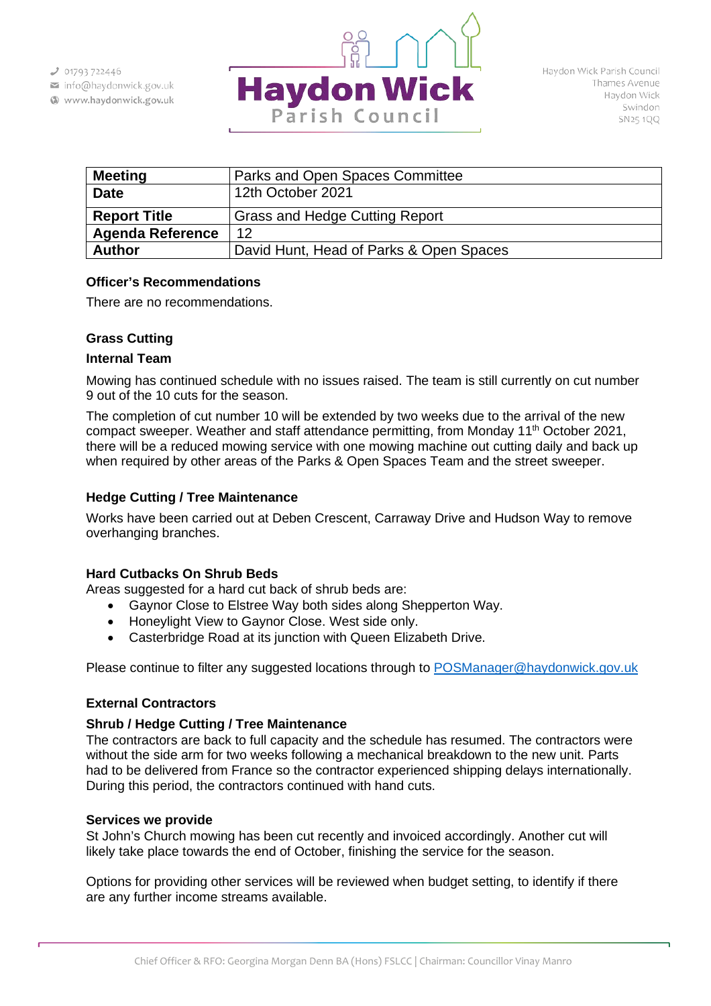- info@haydonwick.gov.uk
- Www.haydonwick.gov.uk



| <b>Meeting</b>          | Parks and Open Spaces Committee         |
|-------------------------|-----------------------------------------|
| <b>Date</b>             | 12th October 2021                       |
| <b>Report Title</b>     | <b>Grass and Hedge Cutting Report</b>   |
| <b>Agenda Reference</b> | 12                                      |
| <b>Author</b>           | David Hunt, Head of Parks & Open Spaces |

### **Officer's Recommendations**

There are no recommendations.

# **Grass Cutting**

#### **Internal Team**

Mowing has continued schedule with no issues raised. The team is still currently on cut number 9 out of the 10 cuts for the season.

The completion of cut number 10 will be extended by two weeks due to the arrival of the new compact sweeper. Weather and staff attendance permitting, from Monday 11<sup>th</sup> October 2021, there will be a reduced mowing service with one mowing machine out cutting daily and back up when required by other areas of the Parks & Open Spaces Team and the street sweeper.

## **Hedge Cutting / Tree Maintenance**

Works have been carried out at Deben Crescent, Carraway Drive and Hudson Way to remove overhanging branches.

#### **Hard Cutbacks On Shrub Beds**

Areas suggested for a hard cut back of shrub beds are:

- Gaynor Close to Elstree Way both sides along Shepperton Way.
- Honeylight View to Gaynor Close. West side only.
- Casterbridge Road at its junction with Queen Elizabeth Drive.

Please continue to filter any suggested locations through to [POSManager@haydonwick.gov.uk](mailto:POSManager@haydonwick.gov.uk)

#### **External Contractors**

#### **Shrub / Hedge Cutting / Tree Maintenance**

The contractors are back to full capacity and the schedule has resumed. The contractors were without the side arm for two weeks following a mechanical breakdown to the new unit. Parts had to be delivered from France so the contractor experienced shipping delays internationally. During this period, the contractors continued with hand cuts.

#### **Services we provide**

St John's Church mowing has been cut recently and invoiced accordingly. Another cut will likely take place towards the end of October, finishing the service for the season.

Options for providing other services will be reviewed when budget setting, to identify if there are any further income streams available.